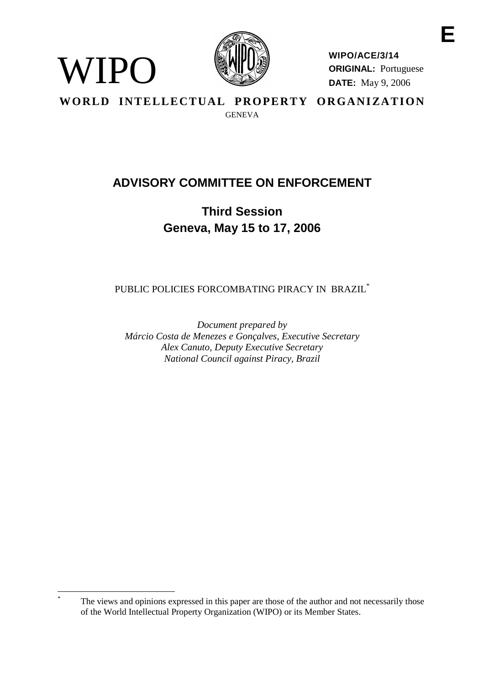

WIPO

**WIPO/ACE/3/14 ORIGINAL:** Portuguese **DATE:** May 9, 2006

WORLD INTELLECTUAL PROPERTY ORGANIZATION **GENEVA** 

# **ADVISORY COMMITTEE ON ENFORCEMENT**

**Third Session Geneva, May 15 to 17, 2006**

PUBLIC POLICIES FORCOMBATING PIRACY IN BRAZIL<sup>\*</sup>

*Document prepared by Márcio Costa de Menezes e Gonçalves, Executive Secretary Alex Canuto, Deputy Executive Secretary National Council against Piracy, Brazil*

The views and opinions expressed in this paper are those of the author and not necessarily those of the World Intellectual Property Organization (WIPO) or its Member States.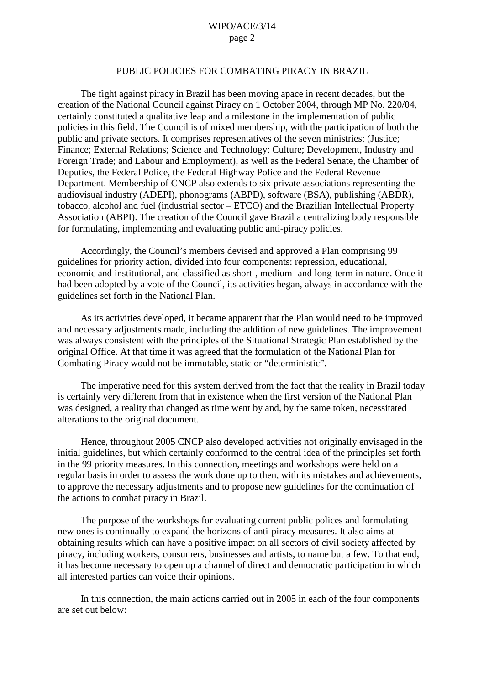#### PUBLIC POLICIES FOR COMBATING PIRACY IN BRAZIL

The fight against piracy in Brazil has been moving apace in recent decades, but the creation of the National Council against Piracy on 1 October 2004, through MP No. 220/04, certainly constituted a qualitative leap and a milestone in the implementation of public policies in this field. The Council is of mixed membership, with the participation of both the public and private sectors. It comprises representatives of the seven ministries: (Justice; Finance; External Relations; Science and Technology; Culture; Development, Industry and Foreign Trade; and Labour and Employment), as well as the Federal Senate, the Chamber of Deputies, the Federal Police, the Federal Highway Police and the Federal Revenue Department. Membership of CNCP also extends to six private associations representing the audiovisual industry (ADEPI), phonograms (ABPD), software (BSA), publishing (ABDR), tobacco, alcohol and fuel (industrial sector – ETCO) and the Brazilian Intellectual Property Association (ABPI). The creation of the Council gave Brazil a centralizing body responsible for formulating, implementing and evaluating public anti-piracy policies.

Accordingly, the Council's members devised and approved a Plan comprising 99 guidelines for priority action, divided into four components: repression, educational, economic and institutional, and classified as short-, medium- and long-term in nature. Once it had been adopted by a vote of the Council, its activities began, always in accordance with the guidelines set forth in the National Plan.

As its activities developed, it became apparent that the Plan would need to be improved and necessary adjustments made, including the addition of new guidelines. The improvement was always consistent with the principles of the Situational Strategic Plan established by the original Office. At that time it was agreed that the formulation of the National Plan for Combating Piracy would not be immutable, static or "deterministic".

The imperative need for this system derived from the fact that the reality in Brazil today is certainly very different from that in existence when the first version of the National Plan was designed, a reality that changed as time went by and, by the same token, necessitated alterations to the original document.

Hence, throughout 2005 CNCP also developed activities not originally envisaged in the initial guidelines, but which certainly conformed to the central idea of the principles set forth in the 99 priority measures. In this connection, meetings and workshops were held on a regular basis in order to assess the work done up to then, with its mistakes and achievements, to approve the necessary adjustments and to propose new guidelines for the continuation of the actions to combat piracy in Brazil.

The purpose of the workshops for evaluating current public polices and formulating new ones is continually to expand the horizons of anti-piracy measures. It also aims at obtaining results which can have a positive impact on all sectors of civil society affected by piracy, including workers, consumers, businesses and artists, to name but a few. To that end, it has become necessary to open up a channel of direct and democratic participation in which all interested parties can voice their opinions.

In this connection, the main actions carried out in 2005 in each of the four components are set out below: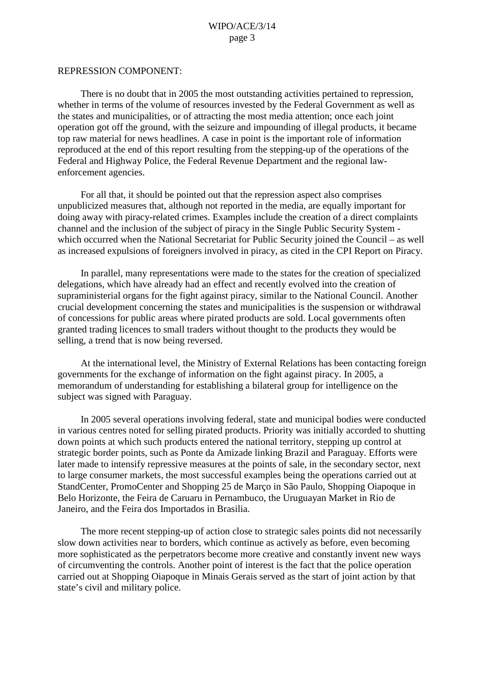#### REPRESSION COMPONENT:

There is no doubt that in 2005 the most outstanding activities pertained to repression, whether in terms of the volume of resources invested by the Federal Government as well as the states and municipalities, or of attracting the most media attention; once each joint operation got off the ground, with the seizure and impounding of illegal products, it became top raw material for news headlines. A case in point is the important role of information reproduced at the end of this report resulting from the stepping-up of the operations of the Federal and Highway Police, the Federal Revenue Department and the regional lawenforcement agencies.

For all that, it should be pointed out that the repression aspect also comprises unpublicized measures that, although not reported in the media, are equally important for doing away with piracy-related crimes. Examples include the creation of a direct complaints channel and the inclusion of the subject of piracy in the Single Public Security System which occurred when the National Secretariat for Public Security joined the Council – as well as increased expulsions of foreigners involved in piracy, as cited in the CPI Report on Piracy.

In parallel, many representations were made to the states for the creation of specialized delegations, which have already had an effect and recently evolved into the creation of supraministerial organs for the fight against piracy, similar to the National Council. Another crucial development concerning the states and municipalities is the suspension or withdrawal of concessions for public areas where pirated products are sold. Local governments often granted trading licences to small traders without thought to the products they would be selling, a trend that is now being reversed.

At the international level, the Ministry of External Relations has been contacting foreign governments for the exchange of information on the fight against piracy. In 2005, a memorandum of understanding for establishing a bilateral group for intelligence on the subject was signed with Paraguay.

In 2005 several operations involving federal, state and municipal bodies were conducted in various centres noted for selling pirated products. Priority was initially accorded to shutting down points at which such products entered the national territory, stepping up control at strategic border points, such as Ponte da Amizade linking Brazil and Paraguay. Efforts were later made to intensify repressive measures at the points of sale, in the secondary sector, next to large consumer markets, the most successful examples being the operations carried out at StandCenter, PromoCenter and Shopping 25 de Março in São Paulo, Shopping Oiapoque in Belo Horizonte, the Feira de Caruaru in Pernambuco, the Uruguayan Market in Rio de Janeiro, and the Feira dos Importados in Brasilia.

The more recent stepping-up of action close to strategic sales points did not necessarily slow down activities near to borders, which continue as actively as before, even becoming more sophisticated as the perpetrators become more creative and constantly invent new ways of circumventing the controls. Another point of interest is the fact that the police operation carried out at Shopping Oiapoque in Minais Gerais served as the start of joint action by that state's civil and military police.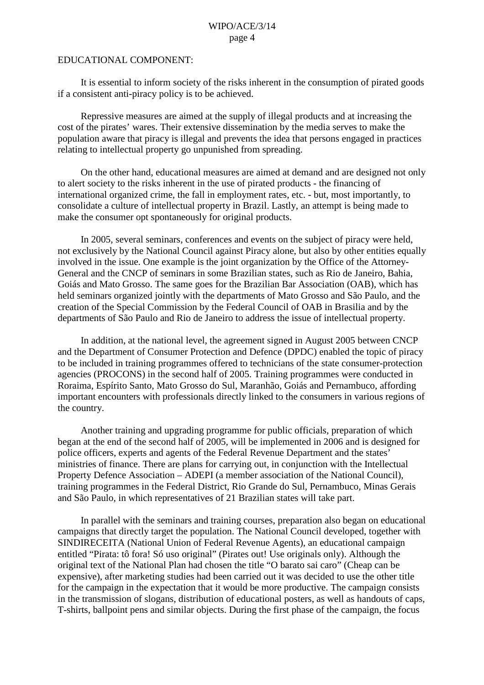## EDUCATIONAL COMPONENT:

It is essential to inform society of the risks inherent in the consumption of pirated goods if a consistent anti-piracy policy is to be achieved.

Repressive measures are aimed at the supply of illegal products and at increasing the cost of the pirates' wares. Their extensive dissemination by the media serves to make the population aware that piracy is illegal and prevents the idea that persons engaged in practices relating to intellectual property go unpunished from spreading.

On the other hand, educational measures are aimed at demand and are designed not only to alert society to the risks inherent in the use of pirated products - the financing of international organized crime, the fall in employment rates, etc. - but, most importantly, to consolidate a culture of intellectual property in Brazil. Lastly, an attempt is being made to make the consumer opt spontaneously for original products.

In 2005, several seminars, conferences and events on the subject of piracy were held, not exclusively by the National Council against Piracy alone, but also by other entities equally involved in the issue. One example is the joint organization by the Office of the Attorney-General and the CNCP of seminars in some Brazilian states, such as Rio de Janeiro, Bahia, Goiás and Mato Grosso. The same goes for the Brazilian Bar Association (OAB), which has held seminars organized jointly with the departments of Mato Grosso and São Paulo, and the creation of the Special Commission by the Federal Council of OAB in Brasilia and by the departments of São Paulo and Rio de Janeiro to address the issue of intellectual property.

In addition, at the national level, the agreement signed in August 2005 between CNCP and the Department of Consumer Protection and Defence (DPDC) enabled the topic of piracy to be included in training programmes offered to technicians of the state consumer-protection agencies (PROCONS) in the second half of 2005. Training programmes were conducted in Roraima, Espírito Santo, Mato Grosso do Sul, Maranhão, Goiás and Pernambuco, affording important encounters with professionals directly linked to the consumers in various regions of the country.

Another training and upgrading programme for public officials, preparation of which began at the end of the second half of 2005, will be implemented in 2006 and is designed for police officers, experts and agents of the Federal Revenue Department and the states' ministries of finance. There are plans for carrying out, in conjunction with the Intellectual Property Defence Association – ADEPI (a member association of the National Council), training programmes in the Federal District, Rio Grande do Sul, Pernambuco, Minas Gerais and São Paulo, in which representatives of 21 Brazilian states will take part.

In parallel with the seminars and training courses, preparation also began on educational campaigns that directly target the population. The National Council developed, together with SINDIRECEITA (National Union of Federal Revenue Agents), an educational campaign entitled "Pirata: tô fora! Só uso original" (Pirates out! Use originals only). Although the original text of the National Plan had chosen the title "O barato sai caro" (Cheap can be expensive), after marketing studies had been carried out it was decided to use the other title for the campaign in the expectation that it would be more productive. The campaign consists in the transmission of slogans, distribution of educational posters, as well as handouts of caps, T-shirts, ballpoint pens and similar objects. During the first phase of the campaign, the focus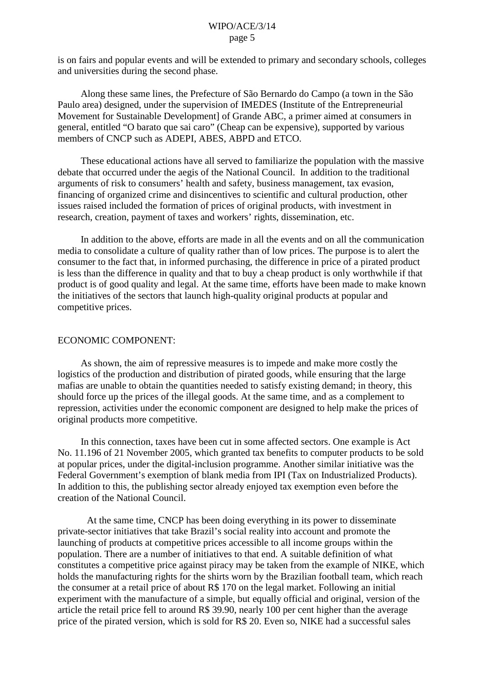is on fairs and popular events and will be extended to primary and secondary schools, colleges and universities during the second phase.

Along these same lines, the Prefecture of São Bernardo do Campo (a town in the São Paulo area) designed, under the supervision of IMEDES (Institute of the Entrepreneurial Movement for Sustainable Development] of Grande ABC, a primer aimed at consumers in general, entitled "O barato que sai caro" (Cheap can be expensive), supported by various members of CNCP such as ADEPI, ABES, ABPD and ETCO.

These educational actions have all served to familiarize the population with the massive debate that occurred under the aegis of the National Council. In addition to the traditional arguments of risk to consumers' health and safety, business management, tax evasion, financing of organized crime and disincentives to scientific and cultural production, other issues raised included the formation of prices of original products, with investment in research, creation, payment of taxes and workers' rights, dissemination, etc.

In addition to the above, efforts are made in all the events and on all the communication media to consolidate a culture of quality rather than of low prices. The purpose is to alert the consumer to the fact that, in informed purchasing, the difference in price of a pirated product is less than the difference in quality and that to buy a cheap product is only worthwhile if that product is of good quality and legal. At the same time, efforts have been made to make known the initiatives of the sectors that launch high-quality original products at popular and competitive prices.

#### ECONOMIC COMPONENT:

As shown, the aim of repressive measures is to impede and make more costly the logistics of the production and distribution of pirated goods, while ensuring that the large mafias are unable to obtain the quantities needed to satisfy existing demand; in theory, this should force up the prices of the illegal goods. At the same time, and as a complement to repression, activities under the economic component are designed to help make the prices of original products more competitive.

In this connection, taxes have been cut in some affected sectors. One example is Act No. 11.196 of 21 November 2005, which granted tax benefits to computer products to be sold at popular prices, under the digital-inclusion programme. Another similar initiative was the Federal Government's exemption of blank media from IPI (Tax on Industrialized Products). In addition to this, the publishing sector already enjoyed tax exemption even before the creation of the National Council.

At the same time, CNCP has been doing everything in its power to disseminate private-sector initiatives that take Brazil's social reality into account and promote the launching of products at competitive prices accessible to all income groups within the population. There are a number of initiatives to that end. A suitable definition of what constitutes a competitive price against piracy may be taken from the example of NIKE, which holds the manufacturing rights for the shirts worn by the Brazilian football team, which reach the consumer at a retail price of about R\$ 170 on the legal market. Following an initial experiment with the manufacture of a simple, but equally official and original, version of the article the retail price fell to around R\$ 39.90, nearly 100 per cent higher than the average price of the pirated version, which is sold for R\$ 20. Even so, NIKE had a successful sales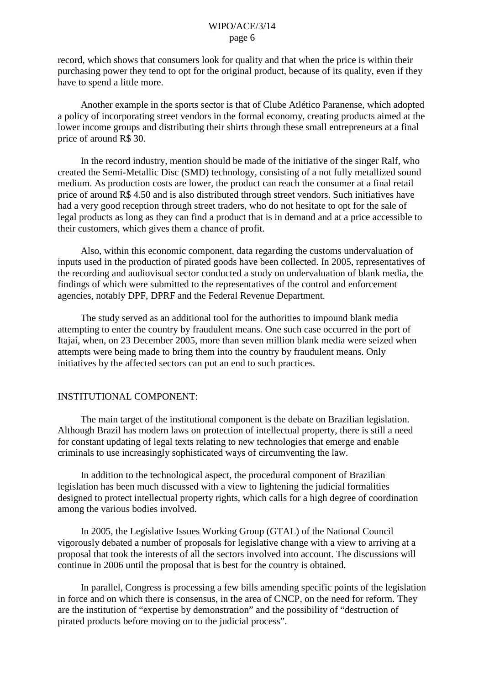record, which shows that consumers look for quality and that when the price is within their purchasing power they tend to opt for the original product, because of its quality, even if they have to spend a little more.

Another example in the sports sector is that of Clube Atlético Paranense, which adopted a policy of incorporating street vendors in the formal economy, creating products aimed at the lower income groups and distributing their shirts through these small entrepreneurs at a final price of around R\$ 30.

In the record industry, mention should be made of the initiative of the singer Ralf, who created the Semi-Metallic Disc (SMD) technology, consisting of a not fully metallized sound medium. As production costs are lower, the product can reach the consumer at a final retail price of around R\$ 4.50 and is also distributed through street vendors. Such initiatives have had a very good reception through street traders, who do not hesitate to opt for the sale of legal products as long as they can find a product that is in demand and at a price accessible to their customers, which gives them a chance of profit.

Also, within this economic component, data regarding the customs undervaluation of inputs used in the production of pirated goods have been collected. In 2005, representatives of the recording and audiovisual sector conducted a study on undervaluation of blank media, the findings of which were submitted to the representatives of the control and enforcement agencies, notably DPF, DPRF and the Federal Revenue Department.

The study served as an additional tool for the authorities to impound blank media attempting to enter the country by fraudulent means. One such case occurred in the port of Itajaí, when, on 23 December 2005, more than seven million blank media were seized when attempts were being made to bring them into the country by fraudulent means. Only initiatives by the affected sectors can put an end to such practices.

# INSTITUTIONAL COMPONENT:

The main target of the institutional component is the debate on Brazilian legislation. Although Brazil has modern laws on protection of intellectual property, there is still a need for constant updating of legal texts relating to new technologies that emerge and enable criminals to use increasingly sophisticated ways of circumventing the law.

In addition to the technological aspect, the procedural component of Brazilian legislation has been much discussed with a view to lightening the judicial formalities designed to protect intellectual property rights, which calls for a high degree of coordination among the various bodies involved.

In 2005, the Legislative Issues Working Group (GTAL) of the National Council vigorously debated a number of proposals for legislative change with a view to arriving at a proposal that took the interests of all the sectors involved into account. The discussions will continue in 2006 until the proposal that is best for the country is obtained.

In parallel, Congress is processing a few bills amending specific points of the legislation in force and on which there is consensus, in the area of CNCP, on the need for reform. They are the institution of "expertise by demonstration" and the possibility of "destruction of pirated products before moving on to the judicial process".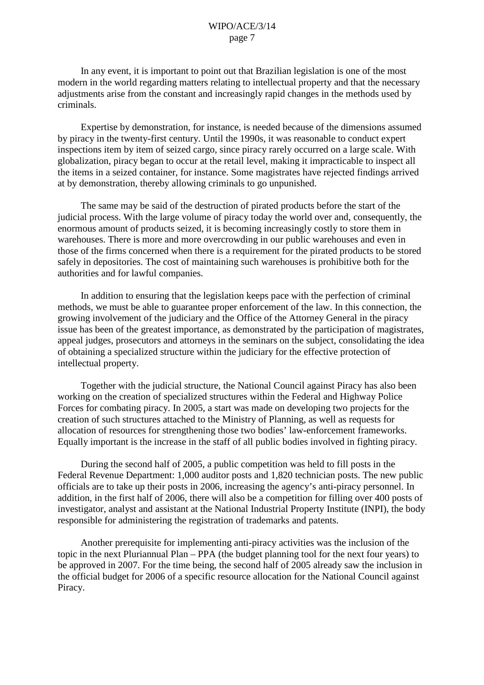In any event, it is important to point out that Brazilian legislation is one of the most modern in the world regarding matters relating to intellectual property and that the necessary adjustments arise from the constant and increasingly rapid changes in the methods used by criminals.

Expertise by demonstration, for instance, is needed because of the dimensions assumed by piracy in the twenty-first century. Until the 1990s, it was reasonable to conduct expert inspections item by item of seized cargo, since piracy rarely occurred on a large scale. With globalization, piracy began to occur at the retail level, making it impracticable to inspect all the items in a seized container, for instance. Some magistrates have rejected findings arrived at by demonstration, thereby allowing criminals to go unpunished.

The same may be said of the destruction of pirated products before the start of the judicial process. With the large volume of piracy today the world over and, consequently, the enormous amount of products seized, it is becoming increasingly costly to store them in warehouses. There is more and more overcrowding in our public warehouses and even in those of the firms concerned when there is a requirement for the pirated products to be stored safely in depositories. The cost of maintaining such warehouses is prohibitive both for the authorities and for lawful companies.

In addition to ensuring that the legislation keeps pace with the perfection of criminal methods, we must be able to guarantee proper enforcement of the law. In this connection, the growing involvement of the judiciary and the Office of the Attorney General in the piracy issue has been of the greatest importance, as demonstrated by the participation of magistrates, appeal judges, prosecutors and attorneys in the seminars on the subject, consolidating the idea of obtaining a specialized structure within the judiciary for the effective protection of intellectual property.

Together with the judicial structure, the National Council against Piracy has also been working on the creation of specialized structures within the Federal and Highway Police Forces for combating piracy. In 2005, a start was made on developing two projects for the creation of such structures attached to the Ministry of Planning, as well as requests for allocation of resources for strengthening those two bodies' law-enforcement frameworks. Equally important is the increase in the staff of all public bodies involved in fighting piracy.

During the second half of 2005, a public competition was held to fill posts in the Federal Revenue Department: 1,000 auditor posts and 1,820 technician posts. The new public officials are to take up their posts in 2006, increasing the agency's anti-piracy personnel. In addition, in the first half of 2006, there will also be a competition for filling over 400 posts of investigator, analyst and assistant at the National Industrial Property Institute (INPI), the body responsible for administering the registration of trademarks and patents.

Another prerequisite for implementing anti-piracy activities was the inclusion of the topic in the next Pluriannual Plan – PPA (the budget planning tool for the next four years) to be approved in 2007. For the time being, the second half of 2005 already saw the inclusion in the official budget for 2006 of a specific resource allocation for the National Council against Piracy.